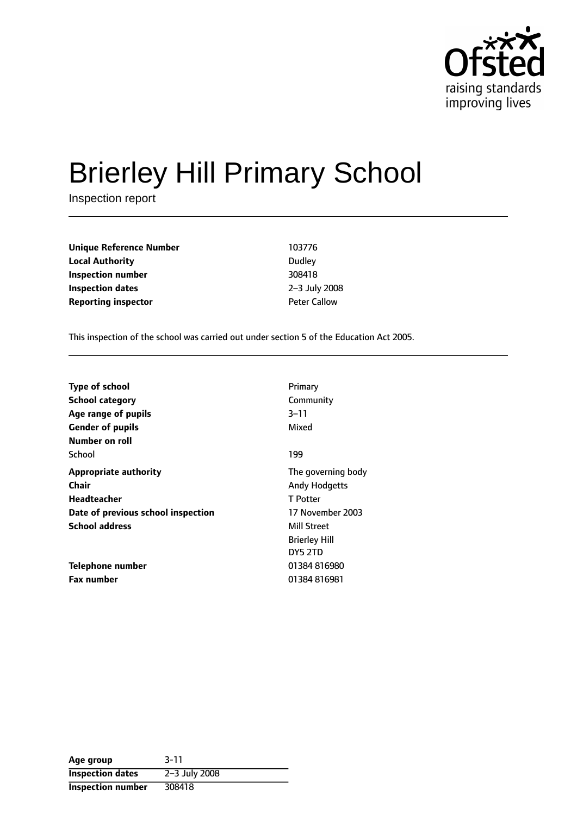

# Brierley Hill Primary School

Inspection report

**Unique Reference Number** 103776 **Local Authority** Dudley **Inspection number** 308418 **Inspection dates** 2-3 July 2008 **Reporting inspector Contract Peter Callow** 

This inspection of the school was carried out under section 5 of the Education Act 2005.

| <b>Type of school</b>              | Primary              |
|------------------------------------|----------------------|
| <b>School category</b>             | Community            |
| Age range of pupils                | $3 - 11$             |
| <b>Gender of pupils</b>            | Mixed                |
| Number on roll                     |                      |
| School                             | 199                  |
| <b>Appropriate authority</b>       | The governing body   |
| Chair                              | <b>Andy Hodgetts</b> |
| Headteacher                        | T Potter             |
| Date of previous school inspection | 17 November 2003     |
| <b>School address</b>              | Mill Street          |
|                                    | <b>Brierley Hill</b> |
|                                    | DY5 2TD              |
| Telephone number                   | 01384816980          |
| <b>Fax number</b>                  | 01384816981          |

| Age group                | $3 - 11$      |
|--------------------------|---------------|
| <b>Inspection dates</b>  | 2-3 July 2008 |
| <b>Inspection number</b> | 308418        |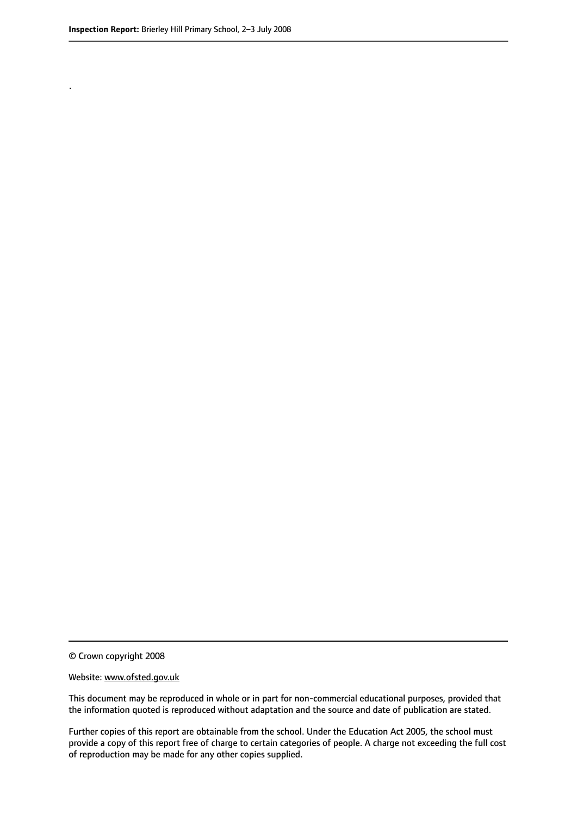.

#### Website: www.ofsted.gov.uk

This document may be reproduced in whole or in part for non-commercial educational purposes, provided that the information quoted is reproduced without adaptation and the source and date of publication are stated.

Further copies of this report are obtainable from the school. Under the Education Act 2005, the school must provide a copy of this report free of charge to certain categories of people. A charge not exceeding the full cost of reproduction may be made for any other copies supplied.

<sup>©</sup> Crown copyright 2008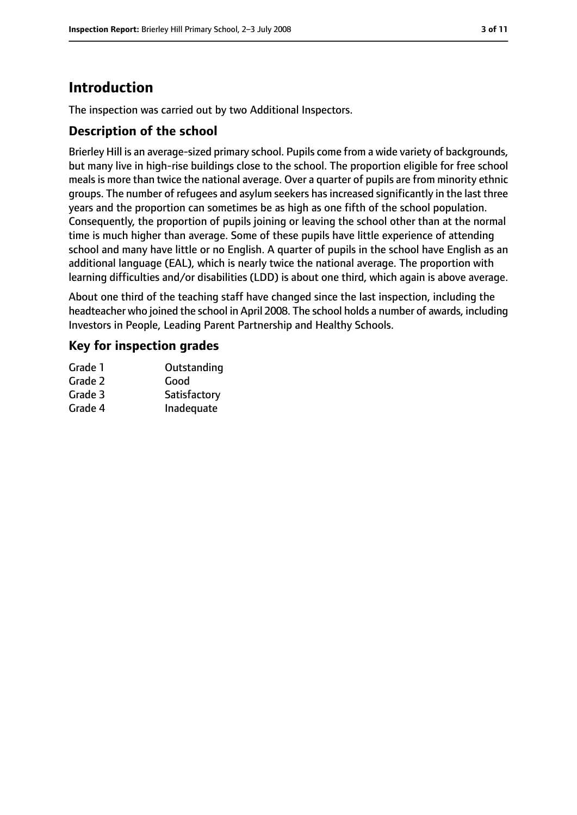# **Introduction**

The inspection was carried out by two Additional Inspectors.

## **Description of the school**

Brierley Hill is an average-sized primary school. Pupils come from a wide variety of backgrounds, but many live in high-rise buildings close to the school. The proportion eligible for free school meals is more than twice the national average. Over a quarter of pupils are from minority ethnic groups. The number of refugees and asylum seekers has increased significantly in the last three years and the proportion can sometimes be as high as one fifth of the school population. Consequently, the proportion of pupils joining or leaving the school other than at the normal time is much higher than average. Some of these pupils have little experience of attending school and many have little or no English. A quarter of pupils in the school have English as an additional language (EAL), which is nearly twice the national average. The proportion with learning difficulties and/or disabilities (LDD) is about one third, which again is above average.

About one third of the teaching staff have changed since the last inspection, including the headteacher who joined the school in April 2008. The school holds a number of awards, including Investors in People, Leading Parent Partnership and Healthy Schools.

## **Key for inspection grades**

| Outstanding  |
|--------------|
| Good         |
| Satisfactory |
| Inadequate   |
|              |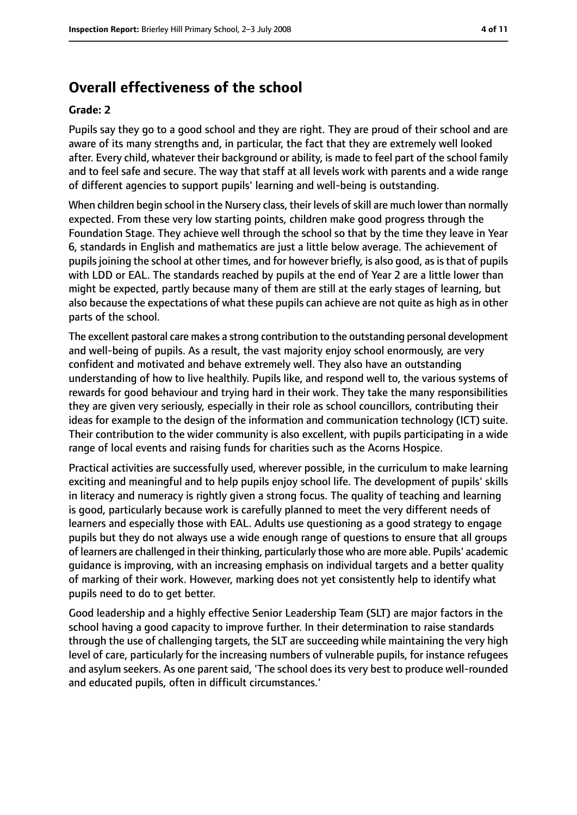# **Overall effectiveness of the school**

#### **Grade: 2**

Pupils say they go to a good school and they are right. They are proud of their school and are aware of its many strengths and, in particular, the fact that they are extremely well looked after. Every child, whatever their background or ability, is made to feel part of the school family and to feel safe and secure. The way that staff at all levels work with parents and a wide range of different agencies to support pupils' learning and well-being is outstanding.

When children begin school in the Nursery class, their levels of skill are much lower than normally expected. From these very low starting points, children make good progress through the Foundation Stage. They achieve well through the school so that by the time they leave in Year 6, standards in English and mathematics are just a little below average. The achievement of pupils joining the school at other times, and for however briefly, is also good, as is that of pupils with LDD or EAL. The standards reached by pupils at the end of Year 2 are a little lower than might be expected, partly because many of them are still at the early stages of learning, but also because the expectations of what these pupils can achieve are not quite as high as in other parts of the school.

The excellent pastoral care makes a strong contribution to the outstanding personal development and well-being of pupils. As a result, the vast majority enjoy school enormously, are very confident and motivated and behave extremely well. They also have an outstanding understanding of how to live healthily. Pupils like, and respond well to, the various systems of rewards for good behaviour and trying hard in their work. They take the many responsibilities they are given very seriously, especially in their role as school councillors, contributing their ideas for example to the design of the information and communication technology (ICT) suite. Their contribution to the wider community is also excellent, with pupils participating in a wide range of local events and raising funds for charities such as the Acorns Hospice.

Practical activities are successfully used, wherever possible, in the curriculum to make learning exciting and meaningful and to help pupils enjoy school life. The development of pupils' skills in literacy and numeracy is rightly given a strong focus. The quality of teaching and learning is good, particularly because work is carefully planned to meet the very different needs of learners and especially those with EAL. Adults use questioning as a good strategy to engage pupils but they do not always use a wide enough range of questions to ensure that all groups of learners are challenged in their thinking, particularly those who are more able. Pupils' academic guidance is improving, with an increasing emphasis on individual targets and a better quality of marking of their work. However, marking does not yet consistently help to identify what pupils need to do to get better.

Good leadership and a highly effective Senior Leadership Team (SLT) are major factors in the school having a good capacity to improve further. In their determination to raise standards through the use of challenging targets, the SLT are succeeding while maintaining the very high level of care, particularly for the increasing numbers of vulnerable pupils, for instance refugees and asylum seekers. As one parent said, 'The school does its very best to produce well-rounded and educated pupils, often in difficult circumstances.'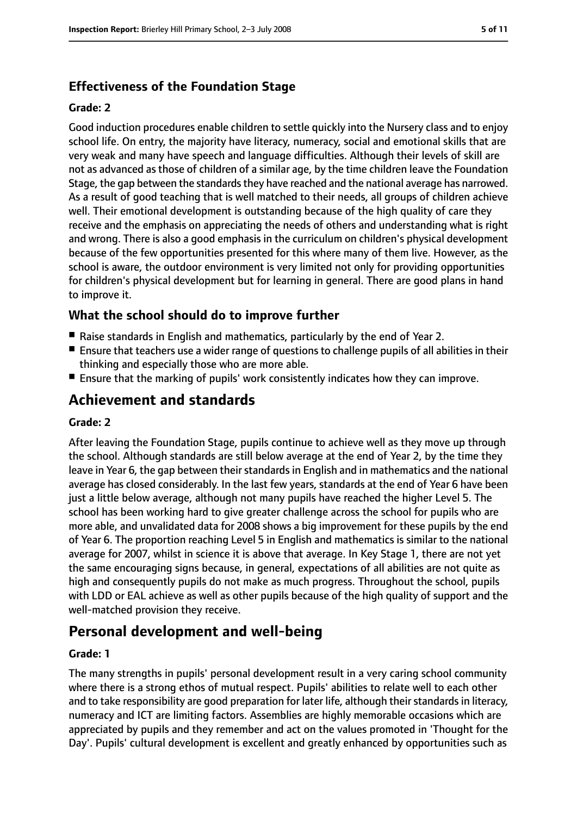# **Effectiveness of the Foundation Stage**

#### **Grade: 2**

Good induction procedures enable children to settle quickly into the Nursery class and to enjoy school life. On entry, the majority have literacy, numeracy, social and emotional skills that are very weak and many have speech and language difficulties. Although their levels of skill are not as advanced as those of children of a similar age, by the time children leave the Foundation Stage, the gap between the standards they have reached and the national average has narrowed. As a result of good teaching that is well matched to their needs, all groups of children achieve well. Their emotional development is outstanding because of the high quality of care they receive and the emphasis on appreciating the needs of others and understanding what is right and wrong. There is also a good emphasis in the curriculum on children's physical development because of the few opportunities presented for this where many of them live. However, as the school is aware, the outdoor environment is very limited not only for providing opportunities for children's physical development but for learning in general. There are good plans in hand to improve it.

## **What the school should do to improve further**

- Raise standards in English and mathematics, particularly by the end of Year 2.
- Ensure that teachers use a wider range of questions to challenge pupils of all abilities in their thinking and especially those who are more able.
- Ensure that the marking of pupils' work consistently indicates how they can improve.

# **Achievement and standards**

#### **Grade: 2**

After leaving the Foundation Stage, pupils continue to achieve well as they move up through the school. Although standards are still below average at the end of Year 2, by the time they leave in Year 6, the gap between their standards in English and in mathematics and the national average has closed considerably. In the last few years, standards at the end of Year 6 have been just a little below average, although not many pupils have reached the higher Level 5. The school has been working hard to give greater challenge across the school for pupils who are more able, and unvalidated data for 2008 shows a big improvement for these pupils by the end of Year 6. The proportion reaching Level 5 in English and mathematics is similar to the national average for 2007, whilst in science it is above that average. In Key Stage 1, there are not yet the same encouraging signs because, in general, expectations of all abilities are not quite as high and consequently pupils do not make as much progress. Throughout the school, pupils with LDD or EAL achieve as well as other pupils because of the high quality of support and the well-matched provision they receive.

# **Personal development and well-being**

#### **Grade: 1**

The many strengths in pupils' personal development result in a very caring school community where there is a strong ethos of mutual respect. Pupils' abilities to relate well to each other and to take responsibility are good preparation for later life, although their standards in literacy, numeracy and ICT are limiting factors. Assemblies are highly memorable occasions which are appreciated by pupils and they remember and act on the values promoted in 'Thought for the Day'. Pupils' cultural development is excellent and greatly enhanced by opportunities such as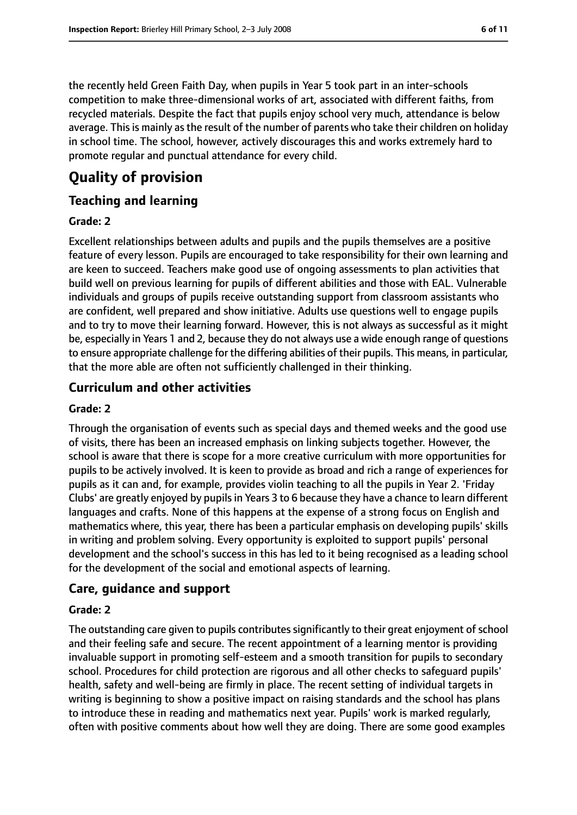the recently held Green Faith Day, when pupils in Year 5 took part in an inter-schools competition to make three-dimensional works of art, associated with different faiths, from recycled materials. Despite the fact that pupils enjoy school very much, attendance is below average. This is mainly as the result of the number of parents who take their children on holiday in school time. The school, however, actively discourages this and works extremely hard to promote regular and punctual attendance for every child.

# **Quality of provision**

## **Teaching and learning**

#### **Grade: 2**

Excellent relationships between adults and pupils and the pupils themselves are a positive feature of every lesson. Pupils are encouraged to take responsibility for their own learning and are keen to succeed. Teachers make good use of ongoing assessments to plan activities that build well on previous learning for pupils of different abilities and those with EAL. Vulnerable individuals and groups of pupils receive outstanding support from classroom assistants who are confident, well prepared and show initiative. Adults use questions well to engage pupils and to try to move their learning forward. However, this is not always as successful as it might be, especially in Years 1 and 2, because they do not always use a wide enough range of questions to ensure appropriate challenge for the differing abilities of their pupils. This means, in particular, that the more able are often not sufficiently challenged in their thinking.

## **Curriculum and other activities**

#### **Grade: 2**

Through the organisation of events such as special days and themed weeks and the good use of visits, there has been an increased emphasis on linking subjects together. However, the school is aware that there is scope for a more creative curriculum with more opportunities for pupils to be actively involved. It is keen to provide as broad and rich a range of experiences for pupils as it can and, for example, provides violin teaching to all the pupils in Year 2. 'Friday Clubs' are greatly enjoyed by pupilsin Years 3 to 6 because they have a chance to learn different languages and crafts. None of this happens at the expense of a strong focus on English and mathematics where, this year, there has been a particular emphasis on developing pupils' skills in writing and problem solving. Every opportunity is exploited to support pupils' personal development and the school's success in this has led to it being recognised as a leading school for the development of the social and emotional aspects of learning.

### **Care, guidance and support**

#### **Grade: 2**

The outstanding care given to pupils contributes significantly to their great enjoyment of school and their feeling safe and secure. The recent appointment of a learning mentor is providing invaluable support in promoting self-esteem and a smooth transition for pupils to secondary school. Procedures for child protection are rigorous and all other checks to safeguard pupils' health, safety and well-being are firmly in place. The recent setting of individual targets in writing is beginning to show a positive impact on raising standards and the school has plans to introduce these in reading and mathematics next year. Pupils' work is marked regularly, often with positive comments about how well they are doing. There are some good examples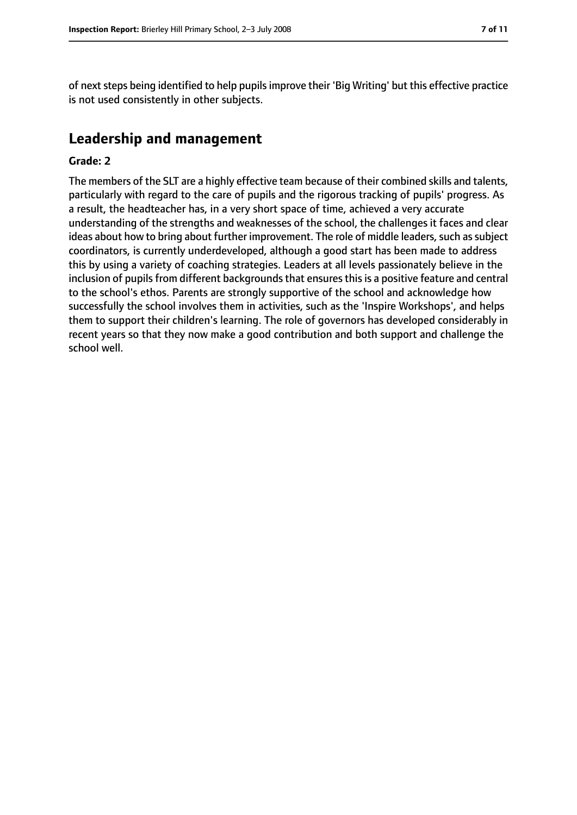of next steps being identified to help pupils improve their 'Big Writing' but this effective practice is not used consistently in other subjects.

# **Leadership and management**

#### **Grade: 2**

The members of the SLT are a highly effective team because of their combined skills and talents, particularly with regard to the care of pupils and the rigorous tracking of pupils' progress. As a result, the headteacher has, in a very short space of time, achieved a very accurate understanding of the strengths and weaknesses of the school, the challenges it faces and clear ideas about how to bring about further improvement. The role of middle leaders, such as subject coordinators, is currently underdeveloped, although a good start has been made to address this by using a variety of coaching strategies. Leaders at all levels passionately believe in the inclusion of pupils from different backgrounds that ensures this is a positive feature and central to the school's ethos. Parents are strongly supportive of the school and acknowledge how successfully the school involves them in activities, such as the 'Inspire Workshops', and helps them to support their children's learning. The role of governors has developed considerably in recent years so that they now make a good contribution and both support and challenge the school well.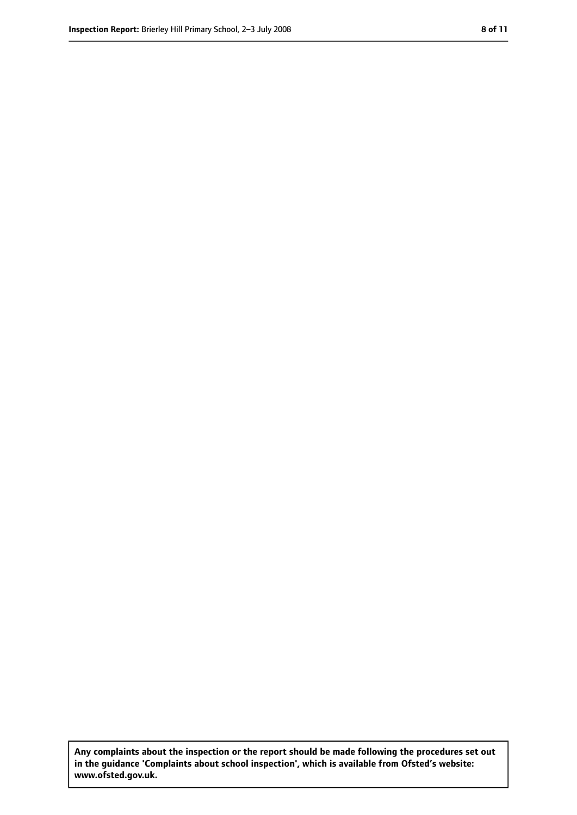**Any complaints about the inspection or the report should be made following the procedures set out in the guidance 'Complaints about school inspection', which is available from Ofsted's website: www.ofsted.gov.uk.**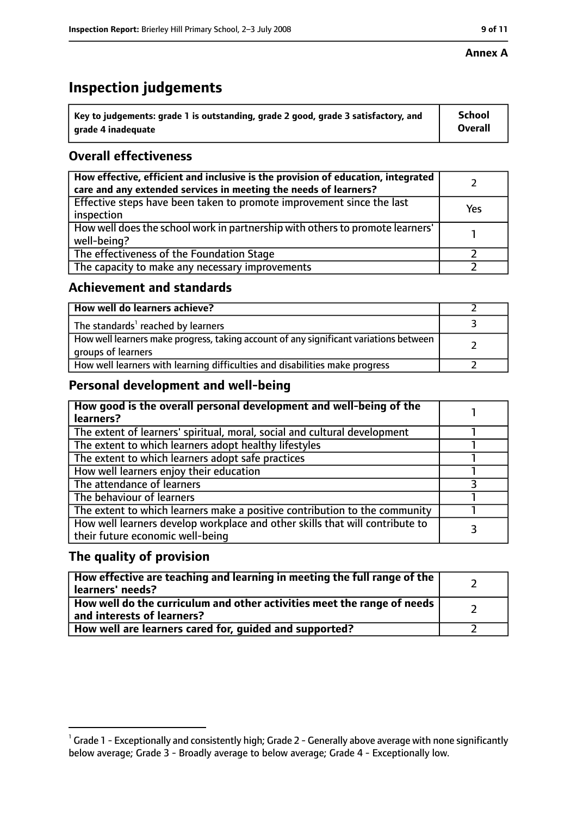#### **Annex A**

# **Inspection judgements**

| $^{\circ}$ Key to judgements: grade 1 is outstanding, grade 2 good, grade 3 satisfactory, and | School         |
|-----------------------------------------------------------------------------------------------|----------------|
| arade 4 inadequate                                                                            | <b>Overall</b> |

# **Overall effectiveness**

| How effective, efficient and inclusive is the provision of education, integrated<br>care and any extended services in meeting the needs of learners? |     |
|------------------------------------------------------------------------------------------------------------------------------------------------------|-----|
| Effective steps have been taken to promote improvement since the last<br>inspection                                                                  | Yes |
| How well does the school work in partnership with others to promote learners'<br>well-being?                                                         |     |
| The effectiveness of the Foundation Stage                                                                                                            |     |
| The capacity to make any necessary improvements                                                                                                      |     |

## **Achievement and standards**

| How well do learners achieve?                                                                               |  |
|-------------------------------------------------------------------------------------------------------------|--|
| The standards <sup>1</sup> reached by learners                                                              |  |
| How well learners make progress, taking account of any significant variations between<br>groups of learners |  |
| How well learners with learning difficulties and disabilities make progress                                 |  |

## **Personal development and well-being**

| How good is the overall personal development and well-being of the<br>learners?                                  |  |
|------------------------------------------------------------------------------------------------------------------|--|
| The extent of learners' spiritual, moral, social and cultural development                                        |  |
| The extent to which learners adopt healthy lifestyles                                                            |  |
| The extent to which learners adopt safe practices                                                                |  |
| How well learners enjoy their education                                                                          |  |
| The attendance of learners                                                                                       |  |
| The behaviour of learners                                                                                        |  |
| The extent to which learners make a positive contribution to the community                                       |  |
| How well learners develop workplace and other skills that will contribute to<br>their future economic well-being |  |

## **The quality of provision**

| How effective are teaching and learning in meeting the full range of the<br>learners' needs?          |  |
|-------------------------------------------------------------------------------------------------------|--|
| How well do the curriculum and other activities meet the range of needs<br>and interests of learners? |  |
| How well are learners cared for, quided and supported?                                                |  |

 $^1$  Grade 1 - Exceptionally and consistently high; Grade 2 - Generally above average with none significantly below average; Grade 3 - Broadly average to below average; Grade 4 - Exceptionally low.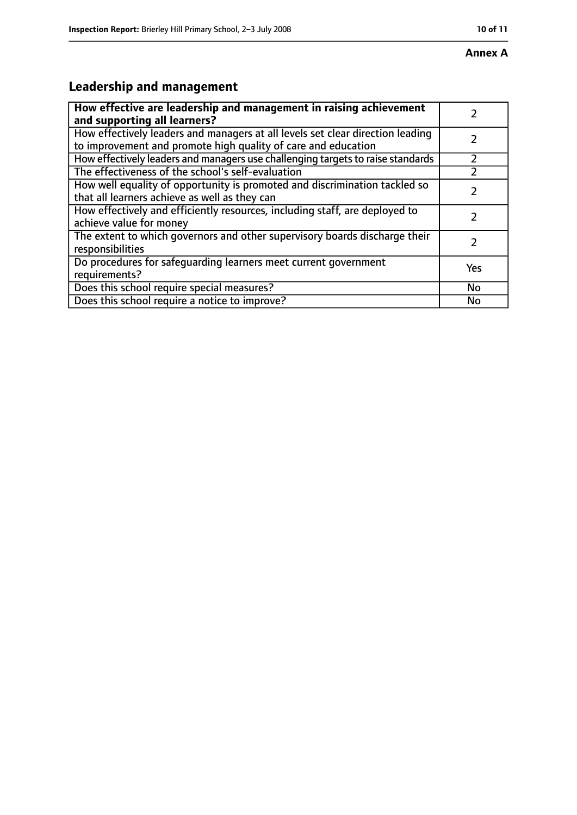# **Leadership and management**

| How effective are leadership and management in raising achievement<br>and supporting all learners?                                              |     |
|-------------------------------------------------------------------------------------------------------------------------------------------------|-----|
| How effectively leaders and managers at all levels set clear direction leading<br>to improvement and promote high quality of care and education |     |
| How effectively leaders and managers use challenging targets to raise standards                                                                 |     |
| The effectiveness of the school's self-evaluation                                                                                               |     |
| How well equality of opportunity is promoted and discrimination tackled so<br>that all learners achieve as well as they can                     |     |
| How effectively and efficiently resources, including staff, are deployed to<br>achieve value for money                                          | 7   |
| The extent to which governors and other supervisory boards discharge their<br>responsibilities                                                  |     |
| Do procedures for safequarding learners meet current government<br>requirements?                                                                | Yes |
| Does this school require special measures?                                                                                                      | No  |
| Does this school require a notice to improve?                                                                                                   | No  |